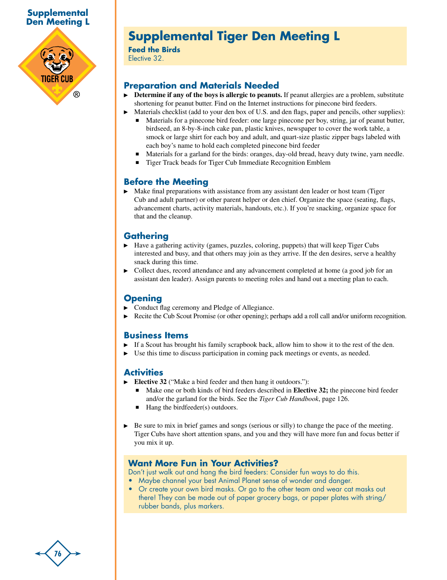

# **Supplemental Tiger Den Meeting L**

**Feed the Birds** Elective 32.

## **Preparation and Materials Needed**

- **Determine if any of the boys is allergic to peanuts.** If peanut allergies are a problem, substitute shortening for peanut butter. Find on the Internet instructions for pinecone bird feeders.
	- Materials checklist (add to your den box of U.S. and den flags, paper and pencils, other supplies): n Materials for a pinecone bird feeder: one large pinecone per boy, string, jar of peanut butter, birdseed, an 8-by-8-inch cake pan, plastic knives, newspaper to cover the work table, a smock or large shirt for each boy and adult, and quart-size plastic zipper bags labeled with each boy's name to hold each completed pinecone bird feeder
	- <sup>n</sup> Materials for a garland for the birds: oranges, day-old bread, heavy duty twine, yarn needle.
	- <sup>n</sup> Tiger Track beads for Tiger Cub Immediate Recognition Emblem

### **Before the Meeting**

 $\blacktriangleright$  Make final preparations with assistance from any assistant den leader or host team (Tiger) Cub and adult partner) or other parent helper or den chief. Organize the space (seating, flags, advancement charts, activity materials, handouts, etc.). If you're snacking, organize space for that and the cleanup.

# **Gathering**

- Have a gathering activity (games, puzzles, coloring, puppets) that will keep Tiger Cubs interested and busy, and that others may join as they arrive. If the den desires, serve a healthy snack during this time.
- Collect dues, record attendance and any advancement completed at home (a good job for an assistant den leader). Assign parents to meeting roles and hand out a meeting plan to each.

#### **Opening**

- Conduct flag ceremony and Pledge of Allegiance.
- Recite the Cub Scout Promise (or other opening); perhaps add a roll call and/or uniform recognition.

#### **Business Items**

- If a Scout has brought his family scrapbook back, allow him to show it to the rest of the den.
- Use this time to discuss participation in coming pack meetings or events, as needed.

#### **Activities**

- **Elective 32** ("Make a bird feeder and then hang it outdoors."):
	- <sup>n</sup> Make one or both kinds of bird feeders described in **Elective 32;** the pinecone bird feeder and/or the garland for the birds. See the *Tiger Cub Handbook*, page 126.
	- $\blacksquare$  Hang the birdfeeder(s) outdoors.
- Be sure to mix in brief games and songs (serious or silly) to change the pace of the meeting. Tiger Cubs have short attention spans, and you and they will have more fun and focus better if you mix it up.

#### **Want More Fun in Your Activities?**

Don't just walk out and hang the bird feeders: Consider fun ways to do this.

- Maybe channel your best Animal Planet sense of wonder and danger.
- Or create your own bird masks. Or go to the other team and wear cat masks out there! They can be made out of paper grocery bags, or paper plates with string/ rubber bands, plus markers.